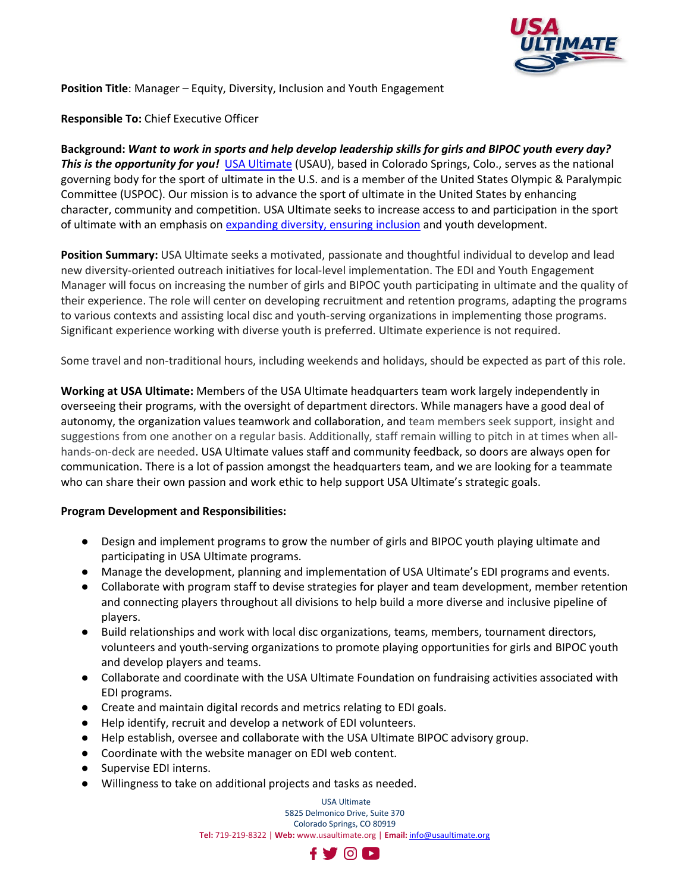

**Position Title**: Manager – Equity, Diversity, Inclusion and Youth Engagement

**Responsible To:** Chief Executive Officer

**Background:** *Want to work in sports and help develop leadership skills for girls and BIPOC youth every day? This is the opportunity for you!* [USA Ultimate](https://usaultimate.org/about/) (USAU), based in Colorado Springs, Colo., serves as the national governing body for the sport of ultimate in the U.S. and is a member of the United States Olympic & Paralympic Committee (USPOC). Our mission is to advance the sport of ultimate in the United States by enhancing character, community and competition. USA Ultimate seeks to increase access to and participation in the sport of ultimate with an emphasis on [expanding diversity, ensuring inclusion](https://usaultimate.org/equity-diversity-inclusion/) and youth development.

**Position Summary:** USA Ultimate seeks a motivated, passionate and thoughtful individual to develop and lead new diversity-oriented outreach initiatives for local-level implementation. The EDI and Youth Engagement Manager will focus on increasing the number of girls and BIPOC youth participating in ultimate and the quality of their experience. The role will center on developing recruitment and retention programs, adapting the programs to various contexts and assisting local disc and youth-serving organizations in implementing those programs. Significant experience working with diverse youth is preferred. Ultimate experience is not required.

Some travel and non-traditional hours, including weekends and holidays, should be expected as part of this role.

**Working at USA Ultimate:** Members of the USA Ultimate headquarters team work largely independently in overseeing their programs, with the oversight of department directors. While managers have a good deal of autonomy, the organization values teamwork and collaboration, and team members seek support, insight and suggestions from one another on a regular basis. Additionally, staff remain willing to pitch in at times when allhands-on-deck are needed. USA Ultimate values staff and community feedback, so doors are always open for communication. There is a lot of passion amongst the headquarters team, and we are looking for a teammate who can share their own passion and work ethic to help support USA Ultimate's strategic goals.

## **Program Development and Responsibilities:**

- Design and implement programs to grow the number of girls and BIPOC youth playing ultimate and participating in USA Ultimate programs.
- Manage the development, planning and implementation of USA Ultimate's EDI programs and events.
- Collaborate with program staff to devise strategies for player and team development, member retention and connecting players throughout all divisions to help build a more diverse and inclusive pipeline of players.
- Build relationships and work with local disc organizations, teams, members, tournament directors, volunteers and youth-serving organizations to promote playing opportunities for girls and BIPOC youth and develop players and teams.
- Collaborate and coordinate with the USA Ultimate Foundation on fundraising activities associated with EDI programs.
- Create and maintain digital records and metrics relating to EDI goals.
- Help identify, recruit and develop a network of EDI volunteers.
- Help establish, oversee and collaborate with the USA Ultimate BIPOC advisory group.
- Coordinate with the website manager on EDI web content.
- Supervise EDI interns.
- Willingness to take on additional projects and tasks as needed.

USA Ultimate 5825 Delmonico Drive, Suite 370 Colorado Springs, CO 80919 **Tel:** 719-219-8322 | **Web:** www.usaultimate.org | **Email:** [info@usaultimate.org](mailto:info@usaultimate.org)